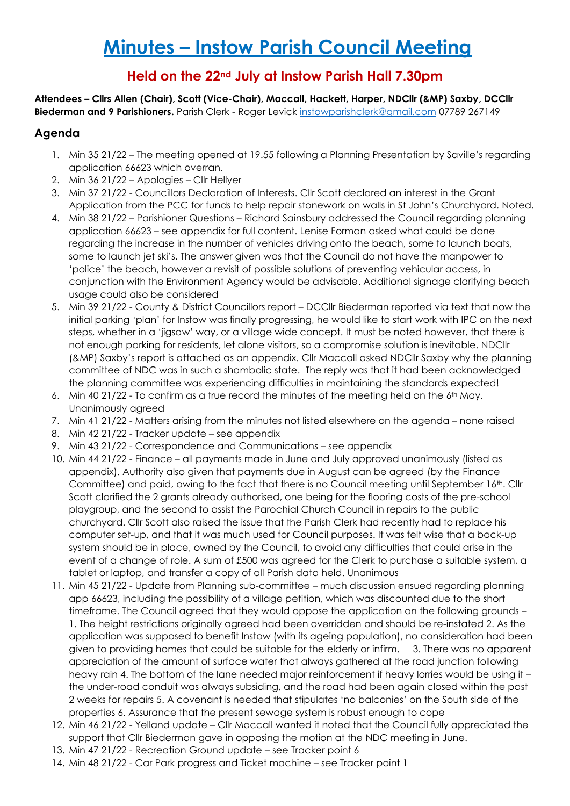# **Held on the 22nd July at Instow Parish Hall 7.30pm**

**Attendees – Cllrs Allen (Chair), Scott (Vice-Chair), Maccall, Hackett, Harper, NDCllr (&MP) Saxby, DCCllr Biederman and 9 Parishioners.** Parish Clerk - Roger Levick [instowparishclerk@gmail.com](mailto:instowparishclerk@gmail.com) 07789 267149

## **Agenda**

- 1. Min 35 21/22 The meeting opened at 19.55 following a Planning Presentation by Saville's regarding application 66623 which overran.
- 2. Min 36 21/22 Apologies Cllr Hellyer
- 3. Min 37 21/22 Councillors Declaration of Interests. Cllr Scott declared an interest in the Grant Application from the PCC for funds to help repair stonework on walls in St John's Churchyard. Noted.
- 4. Min 38 21/22 Parishioner Questions Richard Sainsbury addressed the Council regarding planning application 66623 – see appendix for full content. Lenise Forman asked what could be done regarding the increase in the number of vehicles driving onto the beach, some to launch boats, some to launch jet ski's. The answer given was that the Council do not have the manpower to 'police' the beach, however a revisit of possible solutions of preventing vehicular access, in conjunction with the Environment Agency would be advisable. Additional signage clarifying beach usage could also be considered
- 5. Min 39 21/22 County & District Councillors report DCCllr Biederman reported via text that now the initial parking 'plan' for Instow was finally progressing, he would like to start work with IPC on the next steps, whether in a 'jigsaw' way, or a village wide concept. It must be noted however, that there is not enough parking for residents, let alone visitors, so a compromise solution is inevitable. NDCllr (&MP) Saxby's report is attached as an appendix. Cllr Maccall asked NDCllr Saxby why the planning committee of NDC was in such a shambolic state. The reply was that it had been acknowledged the planning committee was experiencing difficulties in maintaining the standards expected!
- 6. Min 40 21/22 To confirm as a true record the minutes of the meeting held on the  $6<sup>th</sup>$  May. Unanimously agreed
- 7. Min 41 21/22 Matters arising from the minutes not listed elsewhere on the agenda none raised
- 8. Min 42 21/22 Tracker update see appendix
- 9. Min 43 21/22 Correspondence and Communications see appendix
- 10. Min 44 21/22 Finance all payments made in June and July approved unanimously (listed as appendix). Authority also given that payments due in August can be agreed (by the Finance Committee) and paid, owing to the fact that there is no Council meeting until September 16th. Cllr Scott clarified the 2 grants already authorised, one being for the flooring costs of the pre-school playgroup, and the second to assist the Parochial Church Council in repairs to the public churchyard. Cllr Scott also raised the issue that the Parish Clerk had recently had to replace his computer set-up, and that it was much used for Council purposes. It was felt wise that a back-up system should be in place, owned by the Council, to avoid any difficulties that could arise in the event of a change of role. A sum of £500 was agreed for the Clerk to purchase a suitable system, a tablet or laptop, and transfer a copy of all Parish data held. Unanimous
- 11. Min 45 21/22 Update from Planning sub-committee much discussion ensued regarding planning app 66623, including the possibility of a village petition, which was discounted due to the short timeframe. The Council agreed that they would oppose the application on the following grounds – 1. The height restrictions originally agreed had been overridden and should be re-instated 2. As the application was supposed to benefit Instow (with its ageing population), no consideration had been given to providing homes that could be suitable for the elderly or infirm. 3. There was no apparent appreciation of the amount of surface water that always gathered at the road junction following heavy rain 4. The bottom of the lane needed major reinforcement if heavy lorries would be using it – the under-road conduit was always subsiding, and the road had been again closed within the past 2 weeks for repairs 5. A covenant is needed that stipulates 'no balconies' on the South side of the properties 6. Assurance that the present sewage system is robust enough to cope
- 12. Min 46 21/22 Yelland update Cllr Maccall wanted it noted that the Council fully appreciated the support that Cllr Biederman gave in opposing the motion at the NDC meeting in June.
- 13. Min 47 21/22 Recreation Ground update see Tracker point 6
- 14. Min 48 21/22 Car Park progress and Ticket machine see Tracker point 1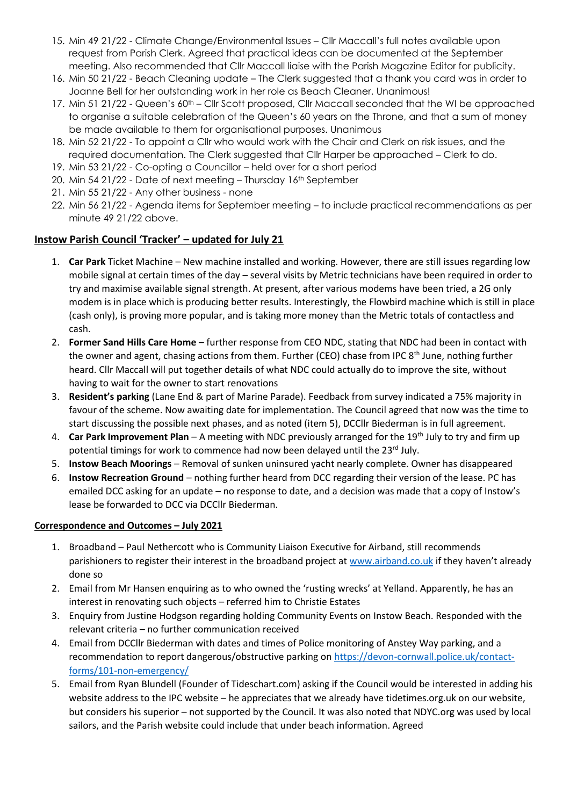- 15. Min 49 21/22 Climate Change/Environmental Issues Cllr Maccall's full notes available upon request from Parish Clerk. Agreed that practical ideas can be documented at the September meeting. Also recommended that Cllr Maccall liaise with the Parish Magazine Editor for publicity.
- 16. Min 50 21/22 Beach Cleaning update The Clerk suggested that a thank you card was in order to Joanne Bell for her outstanding work in her role as Beach Cleaner. Unanimous!
- 17. Min 51 21/22 Queen's 60<sup>th</sup> Cllr Scott proposed, Cllr Maccall seconded that the WI be approached to organise a suitable celebration of the Queen's 60 years on the Throne, and that a sum of money be made available to them for organisational purposes. Unanimous
- 18. Min 52 21/22 To appoint a Cllr who would work with the Chair and Clerk on risk issues, and the required documentation. The Clerk suggested that Cllr Harper be approached – Clerk to do.
- 19. Min 53 21/22 Co-opting a Councillor held over for a short period
- 20. Min 54 21/22 Date of next meeting Thursday 16th September
- 21. Min 55 21/22 Any other business none
- 22. Min 56 21/22 Agenda items for September meeting to include practical recommendations as per minute 49 21/22 above.

## **Instow Parish Council 'Tracker' – updated for July 21**

- 1. **Car Park** Ticket Machine New machine installed and working. However, there are still issues regarding low mobile signal at certain times of the day – several visits by Metric technicians have been required in order to try and maximise available signal strength. At present, after various modems have been tried, a 2G only modem is in place which is producing better results. Interestingly, the Flowbird machine which is still in place (cash only), is proving more popular, and is taking more money than the Metric totals of contactless and cash.
- 2. **Former Sand Hills Care Home** further response from CEO NDC, stating that NDC had been in contact with the owner and agent, chasing actions from them. Further (CEO) chase from IPC 8<sup>th</sup> June, nothing further heard. Cllr Maccall will put together details of what NDC could actually do to improve the site, without having to wait for the owner to start renovations
- 3. **Resident's parking** (Lane End & part of Marine Parade). Feedback from survey indicated a 75% majority in favour of the scheme. Now awaiting date for implementation. The Council agreed that now was the time to start discussing the possible next phases, and as noted (item 5), DCCllr Biederman is in full agreement.
- 4. **Car Park Improvement Plan** A meeting with NDC previously arranged for the 19th July to try and firm up potential timings for work to commence had now been delayed until the  $23^{rd}$  July.
- 5. **Instow Beach Moorings** Removal of sunken uninsured yacht nearly complete. Owner has disappeared
- 6. **Instow Recreation Ground**  nothing further heard from DCC regarding their version of the lease. PC has emailed DCC asking for an update – no response to date, and a decision was made that a copy of Instow's lease be forwarded to DCC via DCCllr Biederman.

## **Correspondence and Outcomes – July 2021**

- 1. Broadband Paul Nethercott who is Community Liaison Executive for Airband, still recommends parishioners to register their interest in the broadband project at [www.airband.co.uk](http://www.airband.co.uk/) if they haven't already done so
- 2. Email from Mr Hansen enquiring as to who owned the 'rusting wrecks' at Yelland. Apparently, he has an interest in renovating such objects – referred him to Christie Estates
- 3. Enquiry from Justine Hodgson regarding holding Community Events on Instow Beach. Responded with the relevant criteria – no further communication received
- 4. Email from DCCllr Biederman with dates and times of Police monitoring of Anstey Way parking, and a recommendation to report dangerous/obstructive parking on [https://devon-cornwall.police.uk/contact](https://devon-cornwall.police.uk/contact-forms/101-non-emergency/)[forms/101-non-emergency/](https://devon-cornwall.police.uk/contact-forms/101-non-emergency/)
- 5. Email from Ryan Blundell (Founder of Tideschart.com) asking if the Council would be interested in adding his website address to the IPC website – he appreciates that we already have tidetimes.org.uk on our website, but considers his superior – not supported by the Council. It was also noted that NDYC.org was used by local sailors, and the Parish website could include that under beach information. Agreed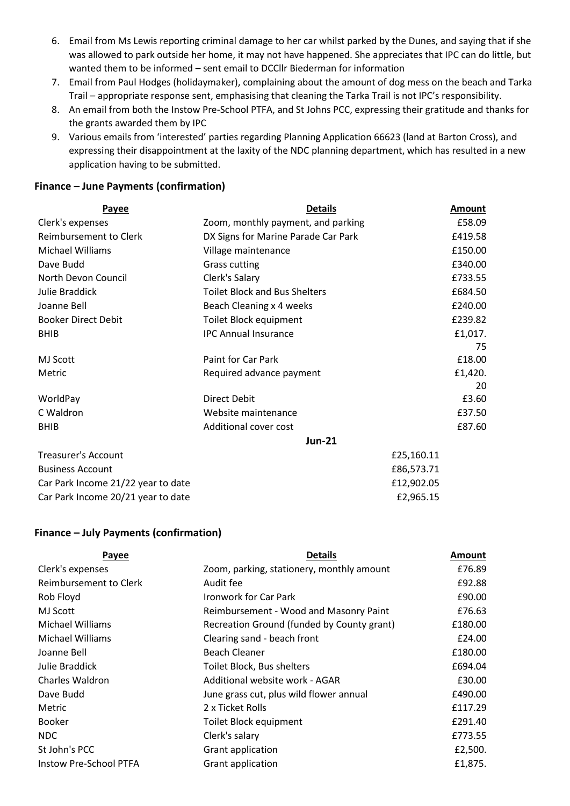- 6. Email from Ms Lewis reporting criminal damage to her car whilst parked by the Dunes, and saying that if she was allowed to park outside her home, it may not have happened. She appreciates that IPC can do little, but wanted them to be informed – sent email to DCCllr Biederman for information
- 7. Email from Paul Hodges (holidaymaker), complaining about the amount of dog mess on the beach and Tarka Trail – appropriate response sent, emphasising that cleaning the Tarka Trail is not IPC's responsibility.
- 8. An email from both the Instow Pre-School PTFA, and St Johns PCC, expressing their gratitude and thanks for the grants awarded them by IPC
- 9. Various emails from 'interested' parties regarding Planning Application 66623 (land at Barton Cross), and expressing their disappointment at the laxity of the NDC planning department, which has resulted in a new application having to be submitted.

#### **Finance – June Payments (confirmation)**

| <b>Payee</b>                       | <b>Details</b>                       | <b>Amount</b> |
|------------------------------------|--------------------------------------|---------------|
| Clerk's expenses                   | Zoom, monthly payment, and parking   | £58.09        |
| Reimbursement to Clerk             | DX Signs for Marine Parade Car Park  | £419.58       |
| Michael Williams                   | Village maintenance                  | £150.00       |
| Dave Budd                          | <b>Grass cutting</b>                 | £340.00       |
| North Devon Council                | Clerk's Salary                       | £733.55       |
| Julie Braddick                     | <b>Toilet Block and Bus Shelters</b> | £684.50       |
| Joanne Bell                        | Beach Cleaning x 4 weeks             | £240.00       |
| <b>Booker Direct Debit</b>         | Toilet Block equipment               | £239.82       |
| <b>BHIB</b>                        | <b>IPC Annual Insurance</b>          | £1,017.       |
|                                    |                                      | 75            |
| <b>MJ Scott</b>                    | Paint for Car Park                   | £18.00        |
| Metric                             | Required advance payment             | £1,420.       |
|                                    |                                      | 20            |
| WorldPay                           | Direct Debit                         | £3.60         |
| C Waldron                          | Website maintenance                  | £37.50        |
| <b>BHIB</b>                        | Additional cover cost                | £87.60        |
|                                    | <b>Jun-21</b>                        |               |
| <b>Treasurer's Account</b>         |                                      | £25,160.11    |
| <b>Business Account</b>            |                                      | £86,573.71    |
| Car Park Income 21/22 year to date |                                      | £12,902.05    |
| Car Park Income 20/21 year to date |                                      | £2,965.15     |

#### **Finance – July Payments (confirmation)**

| Payee                         | <b>Details</b>                             | <b>Amount</b> |
|-------------------------------|--------------------------------------------|---------------|
| Clerk's expenses              | Zoom, parking, stationery, monthly amount  | £76.89        |
| Reimbursement to Clerk        | Audit fee                                  | £92.88        |
| Rob Floyd                     | Ironwork for Car Park                      | £90.00        |
| MJ Scott                      | Reimbursement - Wood and Masonry Paint     | £76.63        |
| <b>Michael Williams</b>       | Recreation Ground (funded by County grant) | £180.00       |
| <b>Michael Williams</b>       | Clearing sand - beach front                | £24.00        |
| Joanne Bell                   | <b>Beach Cleaner</b>                       | £180.00       |
| Julie Braddick                | Toilet Block, Bus shelters                 | £694.04       |
| <b>Charles Waldron</b>        | Additional website work - AGAR             | £30.00        |
| Dave Budd                     | June grass cut, plus wild flower annual    | £490.00       |
| Metric                        | 2 x Ticket Rolls                           | £117.29       |
| <b>Booker</b>                 | Toilet Block equipment                     | £291.40       |
| <b>NDC</b>                    | Clerk's salary                             | £773.55       |
| St John's PCC                 | Grant application                          | £2,500.       |
| <b>Instow Pre-School PTFA</b> | Grant application                          | £1,875.       |